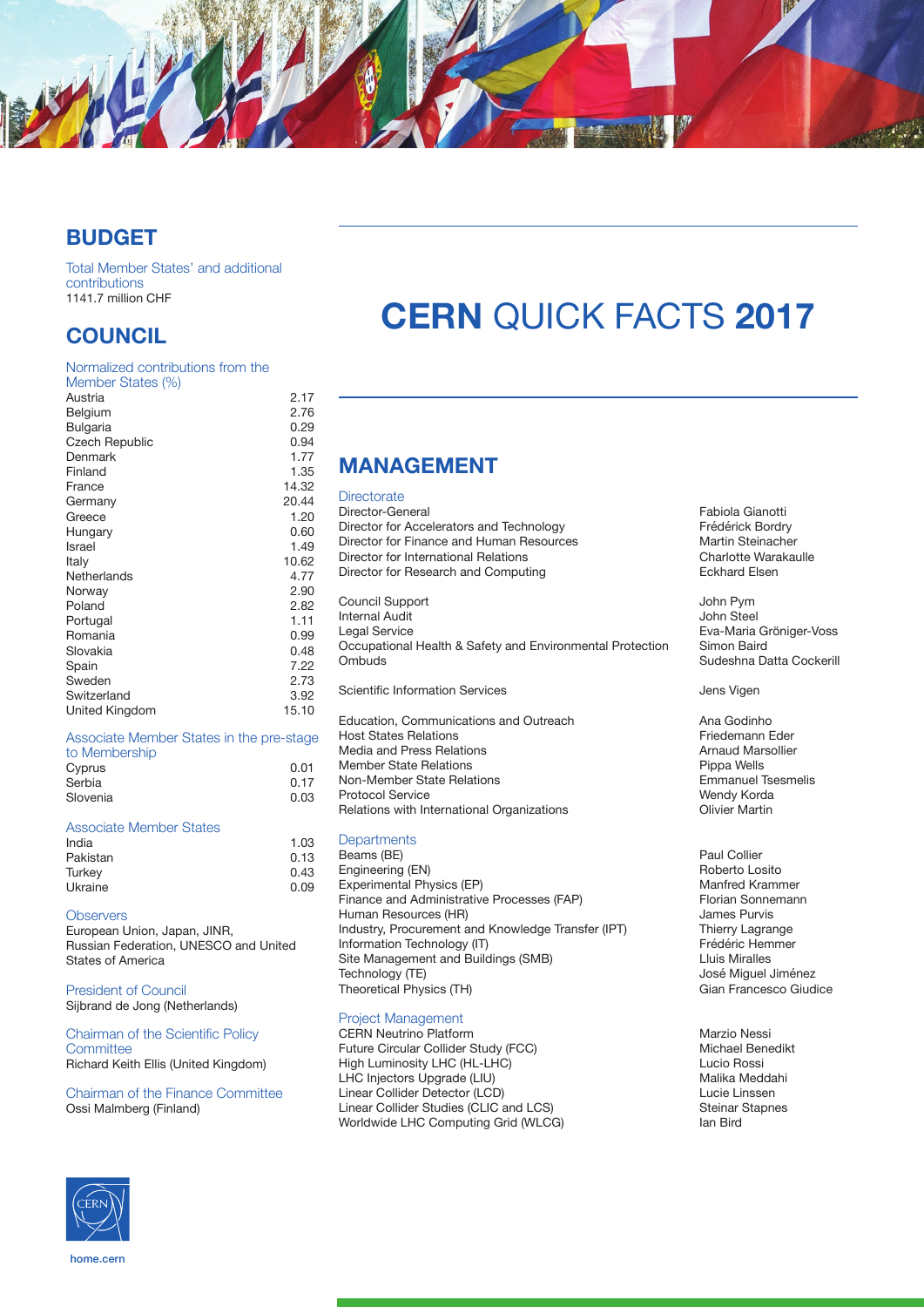

## **BUDGET**

Total Member States' and additional contributions 1141.7 million CHF

## **COUNCIL**

| Normalized contributions from the |       |
|-----------------------------------|-------|
| Member States (%)                 |       |
| Austria                           | 2.17  |
| Belgium                           | 2.76  |
| <b>Bulgaria</b>                   | 0.29  |
| <b>Czech Republic</b>             | 0.94  |
| Denmark                           | 1.77  |
| Finland                           | 1.35  |
| France                            | 14.32 |
| Germany                           | 20.44 |
| Greece                            | 1.20  |
| Hungary                           | 0.60  |
| Israel                            | 1.49  |
| Italy                             | 10.62 |
| Netherlands                       | 4.77  |
| Norway                            | 2.90  |
| Poland                            | 2.82  |
| Portugal                          | 1.11  |
| Romania                           | 0.99  |
| Slovakia                          | 0.48  |
| Spain                             | 7.22  |
| Sweden                            | 2.73  |
| Switzerland                       | 3.92  |
| United Kingdom                    | 15.10 |
|                                   |       |

### Associate Member States in the pre-stage

| 0.01 |
|------|
| 0.17 |
| 0.03 |
|      |

#### Associate Member States

| India    | 1.03 |
|----------|------|
| Pakistan | 0.13 |
| Turkey   | 0.43 |
| Ukraine  | 0.09 |

#### **Observers**

European Union, Japan, JINR, Russian Federation, UNESCO and United States of America

President of Council Sijbrand de Jong (Netherlands)

#### Chairman of the Scientific Policy **Committee** Richard Keith Ellis (United Kingdom)

Chairman of the Finance Committee Ossi Malmberg (Finland)

# **CERN** QUICK FACTS **2017**

# **MANAGEMENT**

#### **Directorate**

Director-General **Fabiola Gianotti**<br>
Director for Accelerators and Technology **Frederick Bordry** Director for Accelerators and Technology<br>
Director for Finance and Human Resources<br>
Martin Steinacher Director for Finance and Human Resources<br>
Director for International Belations<br>
Charlotte Warakaulle Director for International Relations<br>
Director for Research and Computing<br>
Charlotte Warakaulle Relations Director for Research and Computing Council Support John Pym Internal Audit<br>Legal Service Occupational Health & Safety and Environmental Protection<br>Ombuds Scientific Information Services **Jens Vicentific Information Services** Jens Vigen

Education, Communications and Outreach **Ana Godinho**<br>Host States Relations **Ana Godinho**<br>Friedemann Eder Host States
 Relations Friedemann Eder Media and Press Relations and Arnaud Marsolliers and Arnaud Marsolliers Arnaud Marsolliers Arnaud Marsolliers<br>Arnaud Marsolliers Arnaud Marsolliers Arnaud Marsolliers Arnaud Marsolliers Arnaud Marsolliers Arnaud Marsolli Member State Relations<br>
Non-Member State Relations<br>
Pippa Wells Bonness Pippa Wells Non-Member State Relations<br>Protocol Senvice Relations with International Organizations

#### **Departments**

Beams (BE)<br>
Engineering (EN)<br>
Engineering (EN) Engineering (EN) Roberto Losito Experimental Physics (EP)<br>
Finance and Administrative Processes (FAP) Manfred Krammer<br>
Florian Sonnemann Finance and Administrative Processes (FAP) Florian Sonne<br>Human Resources (HR) Florian Sonnes Purvis Human Resources (HR) James Purvis Industry, Procurement and Knowledge Transfer (IPT) Thierry Lagrange<br>Information Technology (IT) Frédéric Hemmer Information Technology (IT)<br>
Site Management and Buildings (SMB) 
Site Management and Buildings (SMB) Site Management and Buildings (SMB)<br>Technology (TE) Theoretical Physics (TH)

#### Project Management

CERN Neutrino Platform<br>
Future Circular Collider Study (FCC) 
State Collider Study (FCC) Future Circular Collider Study (FCC)<br>High Luminosity LHC (HL-LHC) Michael Benedikt Rene diktation Rossi High Luminosity LHC (HL-LHC) Lucio Rossi LHC Injectors Upgrade (LIU) (Called and Contact Malika Meddahise Malika Meddahise Malika Meddahise Interventio<br>A Lucie Linssen Linear Collider Detector (LCD) Lucie Linssen Linear Collider Studies (CLIC and LCS)<br>
Worldwide LHC Computing Grid (WLCG) Statement Staphen Staphen Worldwide LHC Computing Grid (WLCG)

Eva-Maria Gröniger-Voss<br>Simon Baird Sudeshna Datta Cockerill

Wendy Korda<br>Olivier Martin

José Miguel Jiménez<br>Gian Francesco Giudice